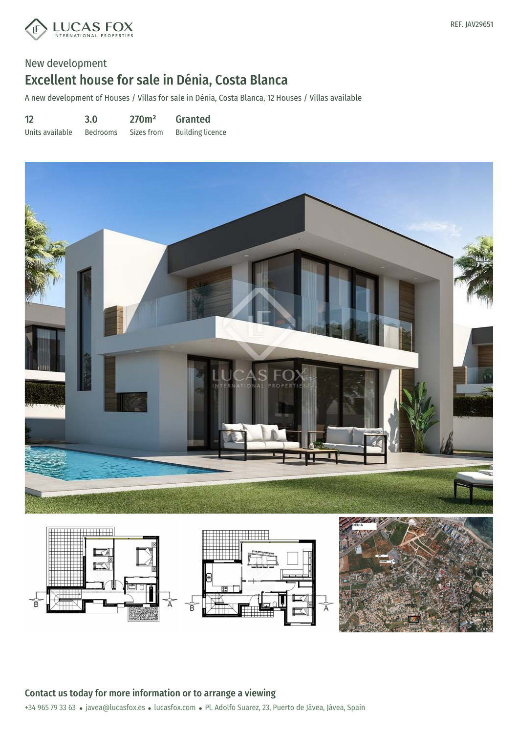

A new development of Houses / Villas for sale in Dénia, Costa Blanca, 12 Houses / Villas available

12 Units available 3.0 Bedrooms 270m² Sizes from Granted Building licence





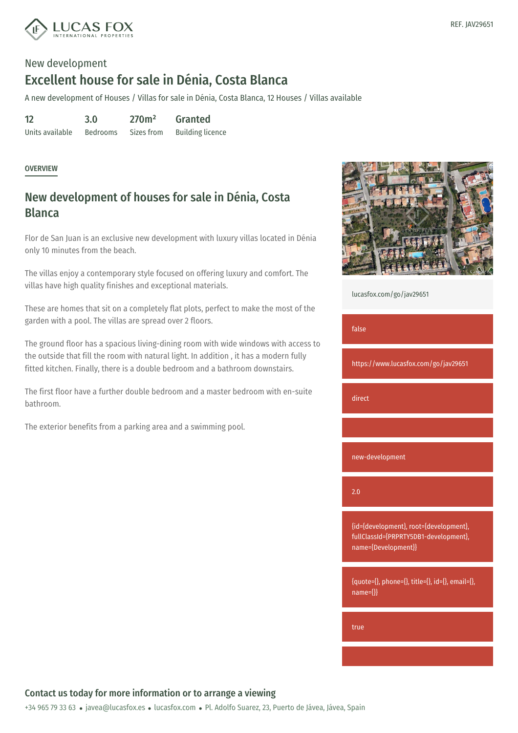

A new development of Houses / Villas for sale in Dénia, Costa Blanca, 12 Houses / Villas available

12 Units available 3.0 Bedrooms 270m² Sizes from Granted Building licence

#### **OVERVIEW**

## New development of houses for sale in Dénia, Costa **Blanca**

Flor de San Juan is an exclusive new development with luxury villas located in Dénia only 10 minutes from the beach.

The villas enjoy a contemporary style focused on offering luxury and comfort. The villas have high quality finishes and exceptional materials.

These are homes that sit on a completely flat plots, perfect to make the most of the garden with a pool. The villas are spread over 2 floors.

The ground floor has a spacious living-dining room with wide windows with access to the outside that fill the room with natural light. In addition , it has a modern fully fitted kitchen. Finally, there is a double bedroom and a bathroom downstairs.

The first floor have a further double bedroom and a master bedroom with en-suite bathroom.

The exterior benefits from a parking area and a swimming pool.



[lucasfox.com/go/jav29651](https://www.lucasfox.com/go/jav29651)

false

https://www.lucasfox.com/go/jav29651

direct

new-development

2.0

{id={development}, root={development}, fullClassId={PRPRTY5DB1-development}, name={Development}}

{quote={}, phone={}, title={}, id={}, email={}, name={}}

true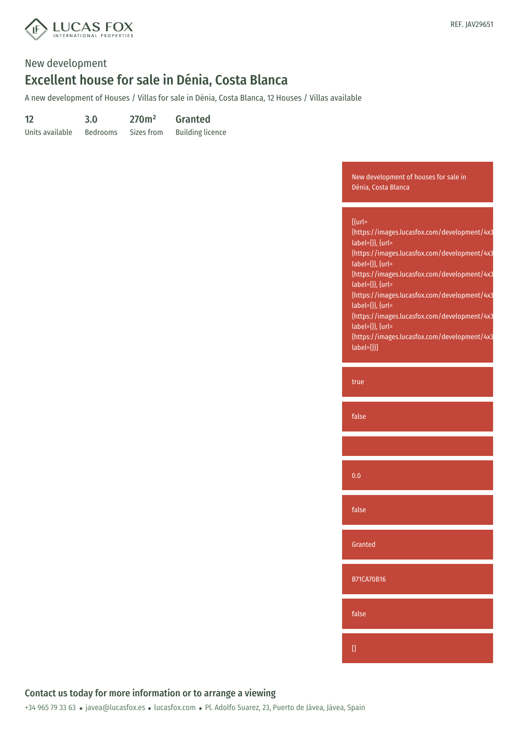

A new development of Houses / Villas for sale in Dénia, Costa Blanca, 12 Houses / Villas available

| 12              | 3.0             | 270m <sup>2</sup> | <b>Granted</b>          |
|-----------------|-----------------|-------------------|-------------------------|
| Units available | <b>Bedrooms</b> | Sizes from        | <b>Building licence</b> |

New development of houses for sale in Dénia, Costa Blanca

| $[$ {url=<br>{https://images.lucasfox.com/development/4x3<br>label={}}, {url=<br>{https://images.lucasfox.com/development/4x3<br>$label={}$ [abel={}}, {url=<br>{https://images.lucasfox.com/development/4x3<br>label={}}, {url=<br>{https://images.lucasfox.com/development/4x3<br>label={}}, {url=<br>{https://images.lucasfox.com/development/4x3<br>label={}}, {url=<br>{https://images.lucasfox.com/development/4x3<br>$label={}}$ |  |
|-----------------------------------------------------------------------------------------------------------------------------------------------------------------------------------------------------------------------------------------------------------------------------------------------------------------------------------------------------------------------------------------------------------------------------------------|--|
| true                                                                                                                                                                                                                                                                                                                                                                                                                                    |  |
| false                                                                                                                                                                                                                                                                                                                                                                                                                                   |  |
|                                                                                                                                                                                                                                                                                                                                                                                                                                         |  |
| 0.0                                                                                                                                                                                                                                                                                                                                                                                                                                     |  |
| false                                                                                                                                                                                                                                                                                                                                                                                                                                   |  |
| Granted                                                                                                                                                                                                                                                                                                                                                                                                                                 |  |
| <b>B71CA70B16</b>                                                                                                                                                                                                                                                                                                                                                                                                                       |  |
|                                                                                                                                                                                                                                                                                                                                                                                                                                         |  |
| false                                                                                                                                                                                                                                                                                                                                                                                                                                   |  |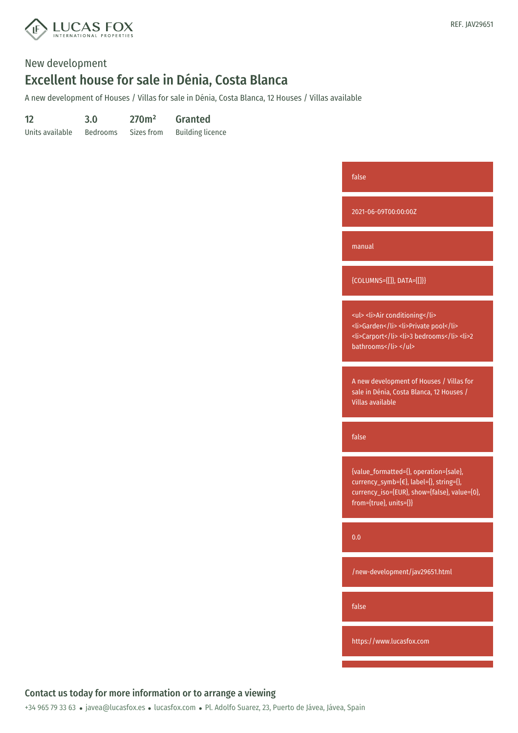

A new development of Houses / Villas for sale in Dénia, Costa Blanca, 12 Houses / Villas available

| 12              | 3.0             | 270m <sup>2</sup> | <b>Granted</b>          |
|-----------------|-----------------|-------------------|-------------------------|
| Units available | <b>Bedrooms</b> | Sizes from        | <b>Building licence</b> |

| false                                                                                                                                                       |
|-------------------------------------------------------------------------------------------------------------------------------------------------------------|
| 2021-06-09T00:00:00Z                                                                                                                                        |
| manual                                                                                                                                                      |
| {COLUMNS={[]}, DATA={[]}}                                                                                                                                   |
| <ul><li>Air conditioning</li><br/><li>Garden</li><li>Private pool</li><br/><li>Carport</li><li>3 bedrooms</li><li>2<br/>bathrooms</li></ul>                 |
| A new development of Houses / Villas for<br>sale in Dénia, Costa Blanca, 12 Houses /<br><b>Villas available</b>                                             |
| false                                                                                                                                                       |
| {value_formatted={}, operation={sale},<br>currency_symb={€}, label={}, string={},<br>currency_iso={EUR}, show={false}, value={0},<br>from={true}, units={}} |
| 0.0                                                                                                                                                         |
| /new-development/jav29651.html                                                                                                                              |
| false                                                                                                                                                       |
| https://www.lucasfox.com                                                                                                                                    |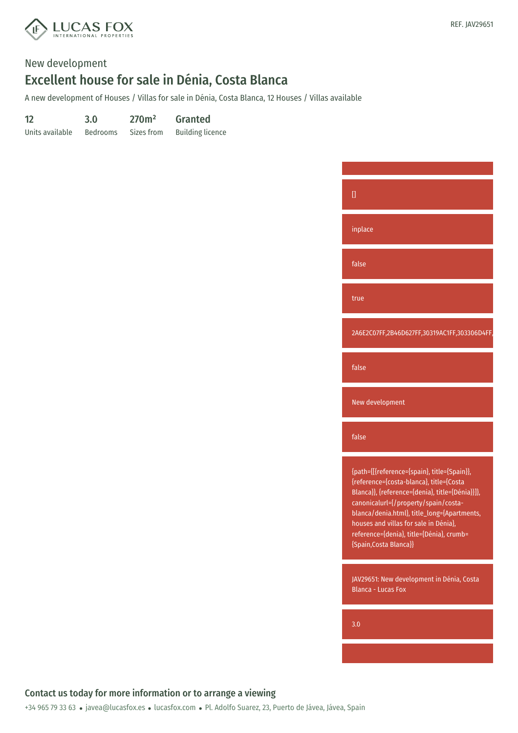

A new development of Houses / Villas for sale in Dénia, Costa Blanca, 12 Houses / Villas available

| 12              | 3.0             | 270m <sup>2</sup> | <b>Granted</b>          |
|-----------------|-----------------|-------------------|-------------------------|
| Units available | <b>Bedrooms</b> | Sizes from        | <b>Building licence</b> |

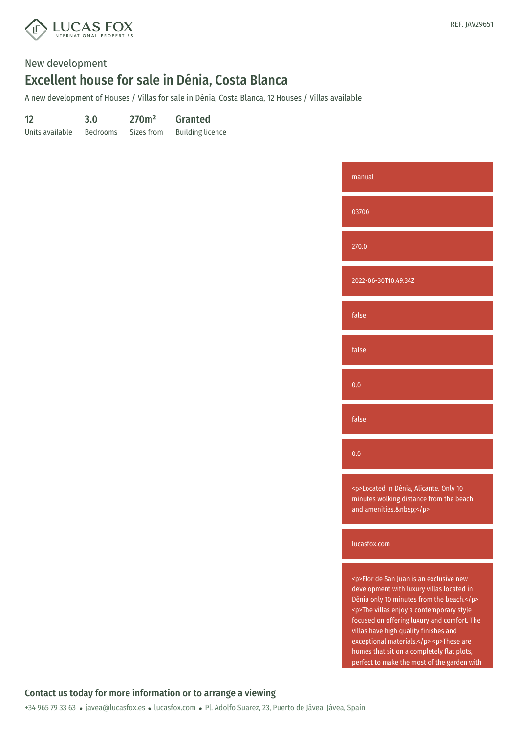

A new development of Houses / Villas for sale in Dénia, Costa Blanca, 12 Houses / Villas available

| 12              | 3.0             | 270m <sup>2</sup> | <b>Granted</b>          |
|-----------------|-----------------|-------------------|-------------------------|
| Units available | <b>Bedrooms</b> | Sizes from        | <b>Building licence</b> |



lucasfox.com

<p>Flor de San Juan is an exclusive new development with luxury villas located in Dénia only 10 minutes from the beach.</p> <p>The villas enjoy a contemporary style focused on offering luxury and comfort. The villas have high quality finishes and exceptional materials.</p> <p>These are homes that sit on a completely flat plots, perfect to make the most of the garden with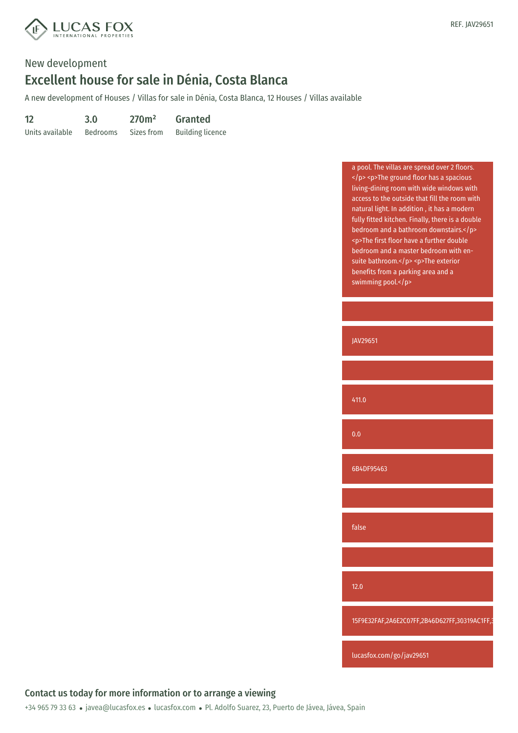

A new development of Houses / Villas for sale in Dénia, Costa Blanca, 12 Houses / Villas available

| 12              | 3.0             | 270m <sup>2</sup> | <b>Granted</b>          |
|-----------------|-----------------|-------------------|-------------------------|
| Units available | <b>Bedrooms</b> | Sizes from        | <b>Building licence</b> |

| a pool. The villas are spread over 2 floors.<br><p>The ground floor has a spacious<br/>living-dining room with wide windows with<br/>access to the outside that fill the room with<br/>natural light. In addition, it has a modern<br/>fully fitted kitchen. Finally, there is a double<br/>bedroom and a bathroom downstairs.</p><br><p>The first floor have a further double<br/>bedroom and a master bedroom with en-<br/>suite bathroom.</p> <p>The exterior<br/>benefits from a parking area and a<br/>swimming pool.</p> |
|--------------------------------------------------------------------------------------------------------------------------------------------------------------------------------------------------------------------------------------------------------------------------------------------------------------------------------------------------------------------------------------------------------------------------------------------------------------------------------------------------------------------------------|
|                                                                                                                                                                                                                                                                                                                                                                                                                                                                                                                                |
| JAV29651                                                                                                                                                                                                                                                                                                                                                                                                                                                                                                                       |
|                                                                                                                                                                                                                                                                                                                                                                                                                                                                                                                                |
| 411.0                                                                                                                                                                                                                                                                                                                                                                                                                                                                                                                          |
| 0.0                                                                                                                                                                                                                                                                                                                                                                                                                                                                                                                            |
| 6B4DF95463                                                                                                                                                                                                                                                                                                                                                                                                                                                                                                                     |
|                                                                                                                                                                                                                                                                                                                                                                                                                                                                                                                                |
| false                                                                                                                                                                                                                                                                                                                                                                                                                                                                                                                          |
|                                                                                                                                                                                                                                                                                                                                                                                                                                                                                                                                |
| $12.0$                                                                                                                                                                                                                                                                                                                                                                                                                                                                                                                         |
| 15F9E32FAF,2A6E2C07FF,2B46D627FF,30319AC1FF,3                                                                                                                                                                                                                                                                                                                                                                                                                                                                                  |
| lucasfox.com/go/jav29651                                                                                                                                                                                                                                                                                                                                                                                                                                                                                                       |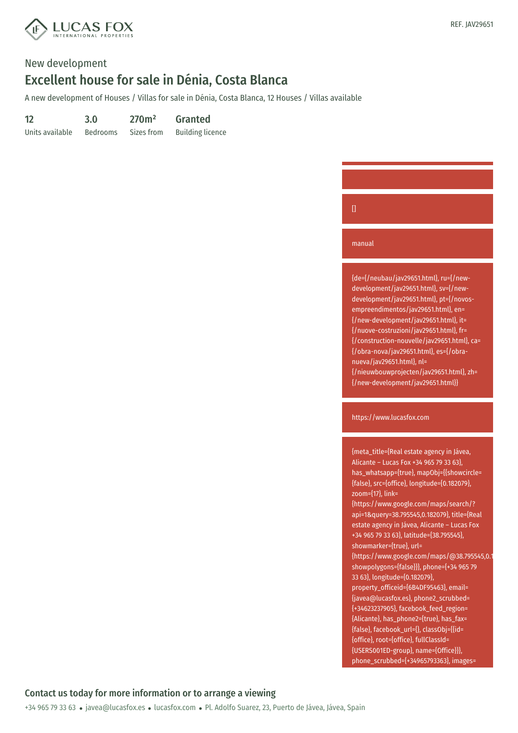

A new development of Houses / Villas for sale in Dénia, Costa Blanca, 12 Houses / Villas available

| 12              | 3.0             | 270m <sup>2</sup> | <b>Granted</b>          |
|-----------------|-----------------|-------------------|-------------------------|
| Units available | <b>Bedrooms</b> | Sizes from        | <b>Building licence</b> |



#### manual

{de={/neubau/jav29651.html}, ru={/newdevelopment/jav29651.html}, sv={/newdevelopment/jav29651.html}, pt={/novosempreendimentos/jav29651.html}, en= {/new-development/jav29651.html}, it= {/nuove-costruzioni/jav29651.html}, fr= {/construction-nouvelle/jav29651.html}, ca= {/obra-nova/jav29651.html}, es={/obranueva/jav29651.html}, nl= {/nieuwbouwprojecten/jav29651.html}, zh= {/new-development/jav29651.html}}

https://www.lucasfox.com

{meta\_title={Real estate agency in Jávea, Alicante – Lucas Fox +34 965 79 33 63}, has\_whatsapp={true}, mapObj={{showcircle= {false}, src={office}, longitude={0.182079}, zoom={17}, link= {https://www.google.com/maps/search/? api=1&query=38.795545,0.182079}, title={Real estate agency in Jávea, Alicante – Lucas Fox +34 965 79 33 63}, latitude={38.795545}, showmarker={true}, url= {https://www.google.com/maps/@38.795545,0.182079,19z}, showpolygons={false}}}, phone={+34 965 79 33 63}, longitude={0.182079}, property\_officeid={6B4DF95463}, email= {javea@lucasfox.es}, phone2\_scrubbed= {+34623237905}, facebook\_feed\_region= {Alicante}, has\_phone2={true}, has\_fax= {false}, facebook\_url={}, classObj={{id= {office}, root={office}, fullClassId= {USERS001ED-group}, name={Office}}}, phone\_scrubbed={+34965793363}, images=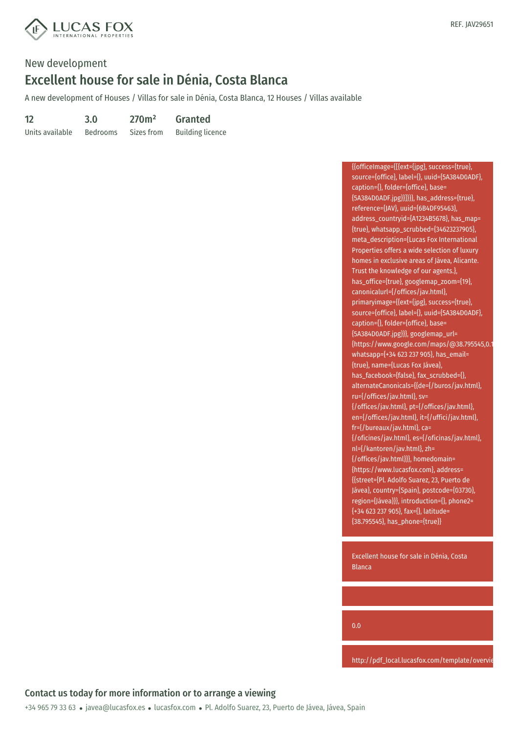

A new development of Houses / Villas for sale in Dénia, Costa Blanca, 12 Houses / Villas available

| 12              | 3.0             | 270m <sup>2</sup> | <b>Granted</b>          |
|-----------------|-----------------|-------------------|-------------------------|
| Units available | <b>Bedrooms</b> | Sizes from        | <b>Building licence</b> |

{{officeImage={[{ext={jpg}, success={true}, source={office}, label={}, uuid={5A384D0ADF}, caption={}, folder={office}, base= {5A384D0ADF.jpg}}]}}}, has\_address={true}, reference={JAV}, uuid={6B4DF95463}, address\_countryid={A1234B5678}, has\_map= {true}, whatsapp\_scrubbed={34623237905}, meta\_description={Lucas Fox International Properties offers a wide selection of luxury homes in exclusive areas of Jávea, Alicante. Trust the knowledge of our agents.}, has\_office={true}, googlemap\_zoom={19}, canonicalurl={/offices/jav.html}, primaryimage={{ext={jpg}, success={true}, source={office}, label={}, uuid={5A384D0ADF}, caption={}, folder={office}, base= {5A384D0ADF.jpg}}}, googlemap\_url= {https://www.google.com/maps/@38.795545,0.1 whatsapp={+34 623 237 905}, has\_email= {true}, name={Lucas Fox Jávea}, has\_facebook={false}, fax\_scrubbed={}, alternateCanonicals={{de={/buros/jav.html}, ru={/offices/jav.html}, sv= {/offices/jav.html}, pt={/offices/jav.html}, en={/offices/jav.html}, it={/uffici/jav.html}, fr={/bureaux/jav.html}, ca= {/oficines/jav.html}, es={/oficinas/jav.html}, nl={/kantoren/jav.html}, zh= {/offices/jav.html}}}, homedomain= {https://www.lucasfox.com}, address= {{street={Pl. Adolfo Suarez, 23, Puerto de Jávea}, country={Spain}, postcode={03730}, region={Jávea}}}, introduction={}, phone2= {+34 623 237 905}, fax={}, latitude= {38.795545}, has\_phone={true}}

Excellent house for sale in Dénia, Costa Blanca

0.0

http://pdf\_local.lucasfox.com/template/overvie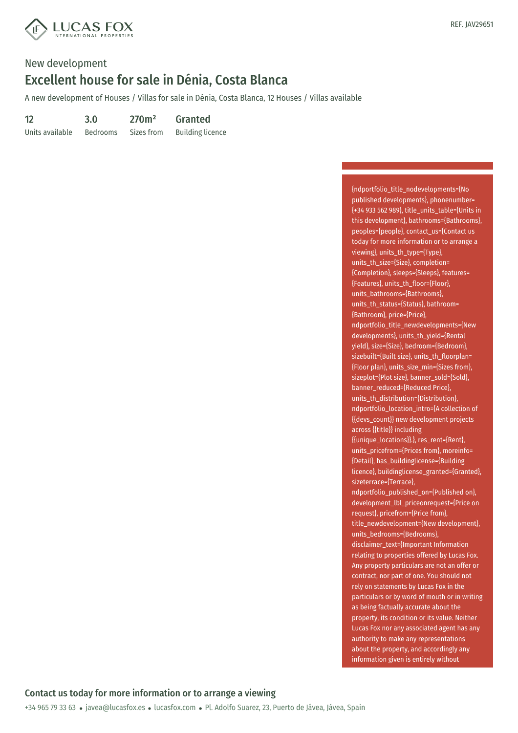

A new development of Houses / Villas for sale in Dénia, Costa Blanca, 12 Houses / Villas available

| 12              | 3.0             | 270m <sup>2</sup> | <b>Granted</b>          |
|-----------------|-----------------|-------------------|-------------------------|
| Units available | <b>Bedrooms</b> | Sizes from        | <b>Building licence</b> |

{ndportfolio\_title\_nodevelopments={No published developments}, phonenumber= {+34 933 562 989}, title\_units\_table={Units in this development}, bathrooms={Bathrooms}, peoples={people}, contact\_us={Contact us today for more information or to arrange a viewing}, units\_th\_type={Type}, units\_th\_size={Size}, completion= {Completion}, sleeps={Sleeps}, features= {Features}, units\_th\_floor={Floor}, units\_bathrooms={Bathrooms}, units\_th\_status={Status}, bathroom= {Bathroom}, price={Price}, ndportfolio\_title\_newdevelopments={New developments}, units\_th\_yield={Rental yield}, size={Size}, bedroom={Bedroom}, sizebuilt={Built size}, units\_th\_floorplan= {Floor plan}, units\_size\_min={Sizes from}, sizeplot={Plot size}, banner\_sold={Sold}, banner\_reduced={Reduced Price}, units th\_distribution={Distribution}, ndportfolio\_location\_intro={A collection of {{devs\_count}} new development projects across {{title}} including {{unique\_locations}}.}, res\_rent={Rent}, units\_pricefrom={Prices from}, moreinfo= {Detail}, has\_buildinglicense={Building licence}, buildinglicense\_granted={Granted}, sizeterrace={Terrace}, ndportfolio\_published\_on={Published on}, development\_lbl\_priceonrequest={Price on request}, pricefrom={Price from}, title\_newdevelopment={New development}, units\_bedrooms={Bedrooms}, disclaimer\_text={Important Information relating to properties offered by Lucas Fox. Any property particulars are not an offer or contract, nor part of one. You should not rely on statements by Lucas Fox in the particulars or by word of mouth or in writing as being factually accurate about the property, its condition or its value. Neither Lucas Fox nor any associated agent has any authority to make any representations about the property, and accordingly any information given is entirely without